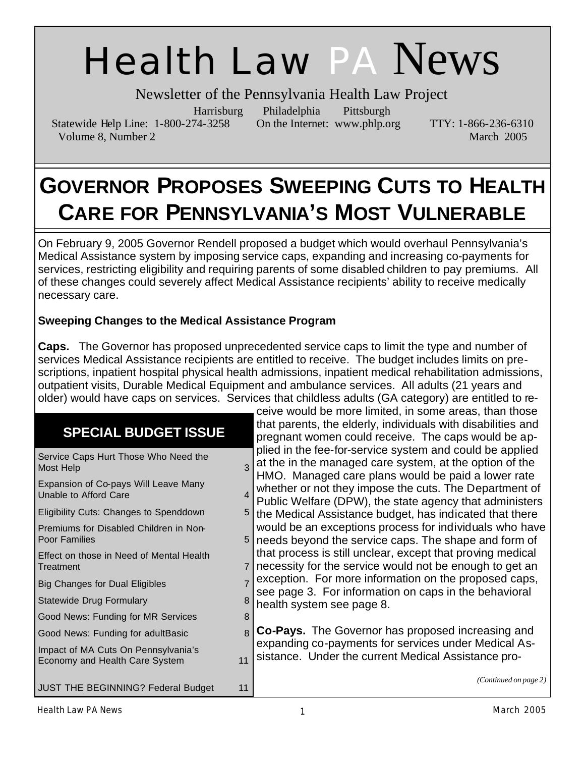# Health Law PA News

Newsletter of the Pennsylvania Health Law Project

Harrisburg Philadelphia Pittsburgh

Statewide Help Line: 1-800-274-3258 On the Internet: www.phlp.org TTY: 1-866-236-6310 Volume 8, Number 2 March 2005

# **GOVERNOR PROPOSES SWEEPING CUTS TO HEALTH CARE FOR PENNSYLVANIA'S MOST VULNERABLE**

On February 9, 2005 Governor Rendell proposed a budget which would overhaul Pennsylvania's Medical Assistance system by imposing service caps, expanding and increasing co-payments for services, restricting eligibility and requiring parents of some disabled children to pay premiums. All of these changes could severely affect Medical Assistance recipients' ability to receive medically necessary care.

#### **Sweeping Changes to the Medical Assistance Program**

**Caps.** The Governor has proposed unprecedented service caps to limit the type and number of services Medical Assistance recipients are entitled to receive. The budget includes limits on prescriptions, inpatient hospital physical health admissions, inpatient medical rehabilitation admissions, outpatient visits, Durable Medical Equipment and ambulance services. All adults (21 years and older) would have caps on services. Services that childless adults (GA category) are entitled to re-

> ceive would be more limited, in some areas, than those that parents, the elderly, individuals with disabilities and

### **SPECIAL BUDGET ISSUE**

| SPEVIAL DUDGET 1990E                                                  |    | pregnant women could receive. The caps would be ap-                                                                                                                       |
|-----------------------------------------------------------------------|----|---------------------------------------------------------------------------------------------------------------------------------------------------------------------------|
| Service Caps Hurt Those Who Need the<br>Most Help                     |    | plied in the fee-for-service system and could be applied<br>at the in the managed care system, at the option of the<br>HMO. Managed care plans would be paid a lower rate |
| Expansion of Co-pays Will Leave Many<br>Unable to Afford Care         |    | whether or not they impose the cuts. The Department of<br>Public Welfare (DPW), the state agency that administers                                                         |
| Eligibility Cuts: Changes to Spenddown                                |    | the Medical Assistance budget, has indicated that there                                                                                                                   |
| Premiums for Disabled Children in Non-<br>Poor Families               | 5  | would be an exceptions process for individuals who have<br>needs beyond the service caps. The shape and form of                                                           |
| Effect on those in Need of Mental Health<br>Treatment                 |    | that process is still unclear, except that proving medical<br>necessity for the service would not be enough to get an                                                     |
| <b>Big Changes for Dual Eligibles</b>                                 |    | exception. For more information on the proposed caps,                                                                                                                     |
| Statewide Drug Formulary                                              |    | see page 3. For information on caps in the behavioral<br>health system see page 8.                                                                                        |
| Good News: Funding for MR Services                                    | 8  |                                                                                                                                                                           |
| Good News: Funding for adultBasic                                     | 8  | <b>Co-Pays.</b> The Governor has proposed increasing and                                                                                                                  |
| Impact of MA Cuts On Pennsylvania's<br>Economy and Health Care System | 11 | expanding co-payments for services under Medical As-<br>sistance. Under the current Medical Assistance pro-                                                               |
| <b>JUST THE BEGINNING? Federal Budget</b>                             | 11 | (Continued on page 2)                                                                                                                                                     |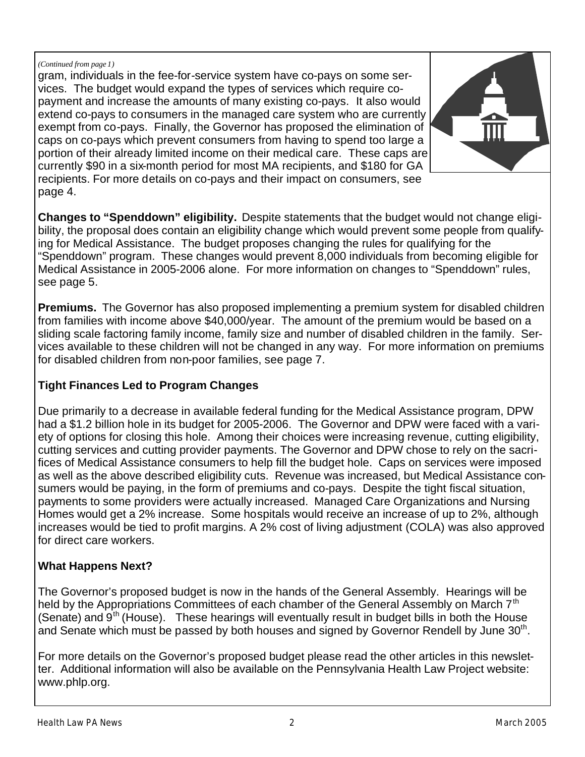#### *(Continued from page 1)*

gram, individuals in the fee-for-service system have co-pays on some services. The budget would expand the types of services which require copayment and increase the amounts of many existing co-pays. It also would extend co-pays to consumers in the managed care system who are currently exempt from co-pays. Finally, the Governor has proposed the elimination of caps on co-pays which prevent consumers from having to spend too large a portion of their already limited income on their medical care. These caps are currently \$90 in a six-month period for most MA recipients, and \$180 for GA recipients. For more details on co-pays and their impact on consumers, see page 4.



**Changes to "Spenddown" eligibility.** Despite statements that the budget would not change eligibility, the proposal does contain an eligibility change which would prevent some people from qualifying for Medical Assistance. The budget proposes changing the rules for qualifying for the "Spenddown" program. These changes would prevent 8,000 individuals from becoming eligible for Medical Assistance in 2005-2006 alone. For more information on changes to "Spenddown" rules, see page 5.

**Premiums.** The Governor has also proposed implementing a premium system for disabled children from families with income above \$40,000/year. The amount of the premium would be based on a sliding scale factoring family income, family size and number of disabled children in the family. Services available to these children will not be changed in any way. For more information on premiums for disabled children from non-poor families, see page 7.

#### **Tight Finances Led to Program Changes**

Due primarily to a decrease in available federal funding for the Medical Assistance program, DPW had a \$1.2 billion hole in its budget for 2005-2006. The Governor and DPW were faced with a variety of options for closing this hole. Among their choices were increasing revenue, cutting eligibility, cutting services and cutting provider payments. The Governor and DPW chose to rely on the sacrifices of Medical Assistance consumers to help fill the budget hole. Caps on services were imposed as well as the above described eligibility cuts. Revenue was increased, but Medical Assistance consumers would be paying, in the form of premiums and co-pays. Despite the tight fiscal situation, payments to some providers were actually increased. Managed Care Organizations and Nursing Homes would get a 2% increase. Some hospitals would receive an increase of up to 2%, although increases would be tied to profit margins. A 2% cost of living adjustment (COLA) was also approved for direct care workers.

#### **What Happens Next?**

The Governor's proposed budget is now in the hands of the General Assembly. Hearings will be held by the Appropriations Committees of each chamber of the General Assembly on March 7<sup>th</sup> (Senate) and  $9<sup>th</sup>$  (House). These hearings will eventually result in budget bills in both the House and Senate which must be passed by both houses and signed by Governor Rendell by June  $30<sup>th</sup>$ .

For more details on the Governor's proposed budget please read the other articles in this newsletter. Additional information will also be available on the Pennsylvania Health Law Project website: www.phlp.org.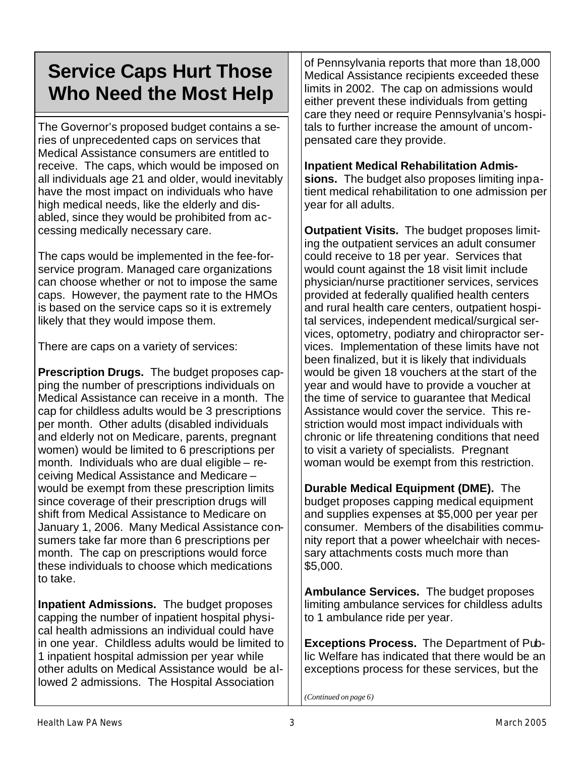# **Service Caps Hurt Those Who Need the Most Help**

The Governor's proposed budget contains a series of unprecedented caps on services that Medical Assistance consumers are entitled to receive. The caps, which would be imposed on all individuals age 21 and older, would inevitably have the most impact on individuals who have high medical needs, like the elderly and disabled, since they would be prohibited from accessing medically necessary care.

The caps would be implemented in the fee-forservice program. Managed care organizations can choose whether or not to impose the same caps. However, the payment rate to the HMOs is based on the service caps so it is extremely likely that they would impose them.

There are caps on a variety of services:

**Prescription Drugs.** The budget proposes capping the number of prescriptions individuals on Medical Assistance can receive in a month. The cap for childless adults would be 3 prescriptions per month. Other adults (disabled individuals and elderly not on Medicare, parents, pregnant women) would be limited to 6 prescriptions per month. Individuals who are dual eligible – receiving Medical Assistance and Medicare – would be exempt from these prescription limits since coverage of their prescription drugs will shift from Medical Assistance to Medicare on January 1, 2006. Many Medical Assistance consumers take far more than 6 prescriptions per month. The cap on prescriptions would force these individuals to choose which medications to take.

**Inpatient Admissions.** The budget proposes capping the number of inpatient hospital physical health admissions an individual could have in one year. Childless adults would be limited to 1 inpatient hospital admission per year while other adults on Medical Assistance would be allowed 2 admissions. The Hospital Association

of Pennsylvania reports that more than 18,000 Medical Assistance recipients exceeded these limits in 2002. The cap on admissions would either prevent these individuals from getting care they need or require Pennsylvania's hospitals to further increase the amount of uncompensated care they provide.

#### **Inpatient Medical Rehabilitation Admis-**

**sions.** The budget also proposes limiting inpatient medical rehabilitation to one admission per year for all adults.

**Outpatient Visits.** The budget proposes limiting the outpatient services an adult consumer could receive to 18 per year. Services that would count against the 18 visit limit include physician/nurse practitioner services, services provided at federally qualified health centers and rural health care centers, outpatient hospital services, independent medical/surgical services, optometry, podiatry and chiropractor services. Implementation of these limits have not been finalized, but it is likely that individuals would be given 18 vouchers at the start of the year and would have to provide a voucher at the time of service to guarantee that Medical Assistance would cover the service. This restriction would most impact individuals with chronic or life threatening conditions that need to visit a variety of specialists. Pregnant woman would be exempt from this restriction.

**Durable Medical Equipment (DME).** The budget proposes capping medical equipment and supplies expenses at \$5,000 per year per consumer. Members of the disabilities community report that a power wheelchair with necessary attachments costs much more than \$5,000.

**Ambulance Services.** The budget proposes limiting ambulance services for childless adults to 1 ambulance ride per year.

**Exceptions Process.** The Department of Public Welfare has indicated that there would be an exceptions process for these services, but the

*(Continued on page 6)*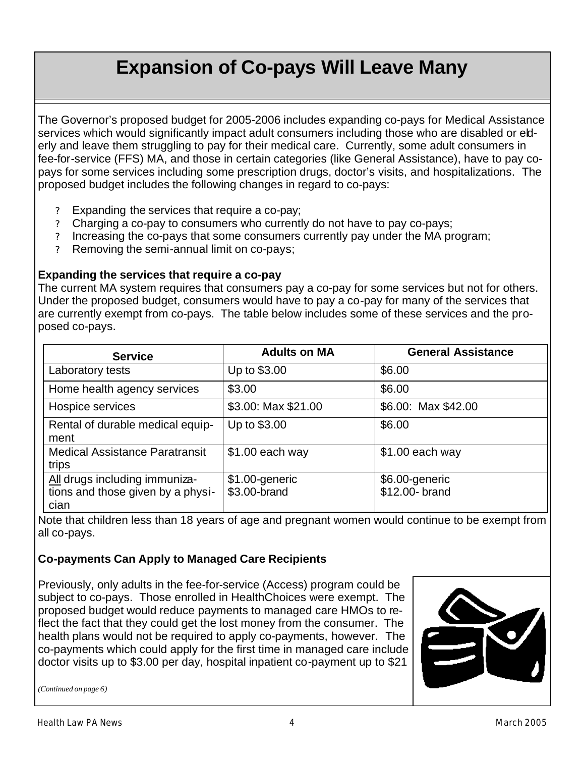# **Expansion of Co-pays Will Leave Many**

The Governor's proposed budget for 2005-2006 includes expanding co-pays for Medical Assistance services which would significantly impact adult consumers including those who are disabled or elderly and leave them struggling to pay for their medical care. Currently, some adult consumers in fee-for-service (FFS) MA, and those in certain categories (like General Assistance), have to pay copays for some services including some prescription drugs, doctor's visits, and hospitalizations. The proposed budget includes the following changes in regard to co-pays:

- ? Expanding the services that require a co-pay;
- ? Charging a co-pay to consumers who currently do not have to pay co-pays;
- ? Increasing the co-pays that some consumers currently pay under the MA program;
- ? Removing the semi-annual limit on co-pays;

#### **Expanding the services that require a co-pay**

The current MA system requires that consumers pay a co-pay for some services but not for others. Under the proposed budget, consumers would have to pay a co-pay for many of the services that are currently exempt from co-pays. The table below includes some of these services and the proposed co-pays.

| <b>Service</b>                                                             | <b>Adults on MA</b>            | <b>General Assistance</b>        |
|----------------------------------------------------------------------------|--------------------------------|----------------------------------|
| Laboratory tests                                                           | Up to \$3.00                   | \$6.00                           |
| Home health agency services                                                | \$3.00                         | \$6.00                           |
| Hospice services                                                           | \$3.00: Max \$21.00            | \$6.00: Max \$42.00              |
| Rental of durable medical equip-<br>ment                                   | Up to \$3.00                   | \$6.00                           |
| <b>Medical Assistance Paratransit</b><br>trips                             | $$1.00$ each way               | $$1.00$ each way                 |
| All drugs including immuniza-<br>tions and those given by a physi-<br>cian | \$1.00-generic<br>\$3.00-brand | \$6.00-generic<br>\$12.00- brand |

Note that children less than 18 years of age and pregnant women would continue to be exempt from all co-pays.

#### **Co-payments Can Apply to Managed Care Recipients**

Previously, only adults in the fee-for-service (Access) program could be subject to co-pays. Those enrolled in HealthChoices were exempt. The proposed budget would reduce payments to managed care HMOs to reflect the fact that they could get the lost money from the consumer. The health plans would not be required to apply co-payments, however. The co-payments which could apply for the first time in managed care include doctor visits up to \$3.00 per day, hospital inpatient co-payment up to \$21



*(Continued on page 6)*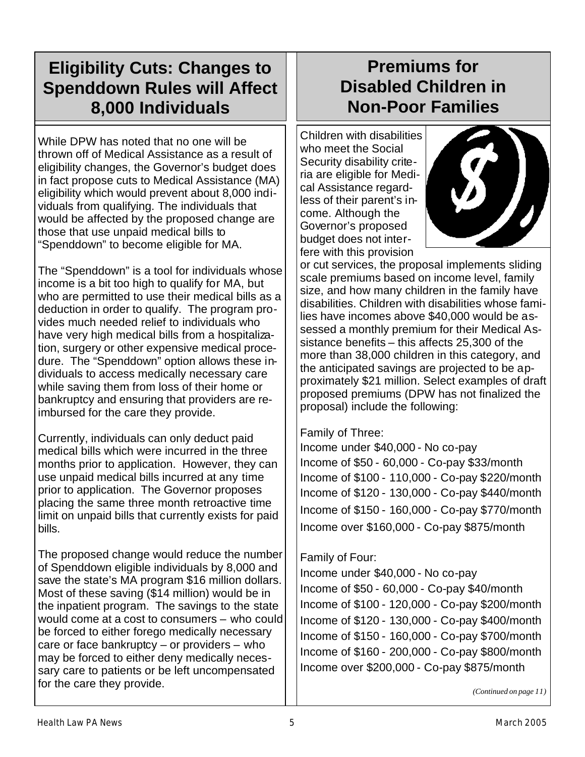# **Eligibility Cuts: Changes to Spenddown Rules will Affect 8,000 Individuals**

While DPW has noted that no one will be thrown off of Medical Assistance as a result of eligibility changes, the Governor's budget does in fact propose cuts to Medical Assistance (MA) eligibility which would prevent about 8,000 individuals from qualifying. The individuals that would be affected by the proposed change are those that use unpaid medical bills to "Spenddown" to become eligible for MA.

The "Spenddown" is a tool for individuals whose income is a bit too high to qualify for MA, but who are permitted to use their medical bills as a deduction in order to qualify. The program provides much needed relief to individuals who have very high medical bills from a hospitalization, surgery or other expensive medical procedure. The "Spenddown" option allows these individuals to access medically necessary care while saving them from loss of their home or bankruptcy and ensuring that providers are reimbursed for the care they provide.

Currently, individuals can only deduct paid medical bills which were incurred in the three months prior to application. However, they can use unpaid medical bills incurred at any time prior to application. The Governor proposes placing the same three month retroactive time limit on unpaid bills that currently exists for paid bills.

The proposed change would reduce the number of Spenddown eligible individuals by 8,000 and save the state's MA program \$16 million dollars. Most of these saving (\$14 million) would be in the inpatient program. The savings to the state would come at a cost to consumers – who could be forced to either forego medically necessary care or face bankruptcy – or providers – who may be forced to either deny medically necessary care to patients or be left uncompensated for the care they provide.

# **Premiums for Disabled Children in Non-Poor Families**

Children with disabilities who meet the Social Security disability criteria are eligible for Medical Assistance regardless of their parent's income. Although the Governor's proposed budget does not interfere with this provision



or cut services, the proposal implements sliding scale premiums based on income level, family size, and how many children in the family have disabilities. Children with disabilities whose families have incomes above \$40,000 would be assessed a monthly premium for their Medical Assistance benefits – this affects 25,300 of the more than 38,000 children in this category, and the anticipated savings are projected to be approximately \$21 million. Select examples of draft proposed premiums (DPW has not finalized the proposal) include the following:

#### Family of Three:

Income under \$40,000 - No co-pay Income of \$50 - 60,000 - Co-pay \$33/month Income of \$100 - 110,000 - Co-pay \$220/month Income of \$120 - 130,000 - Co-pay \$440/month Income of \$150 - 160,000 - Co-pay \$770/month Income over \$160,000 - Co-pay \$875/month

#### Family of Four:

Income under \$40,000 - No co-pay Income of \$50 - 60,000 - Co-pay \$40/month Income of \$100 - 120,000 - Co-pay \$200/month Income of \$120 - 130,000 - Co-pay \$400/month Income of \$150 - 160,000 - Co-pay \$700/month Income of \$160 - 200,000 - Co-pay \$800/month Income over \$200,000 - Co-pay \$875/month

*(Continued on page 11)*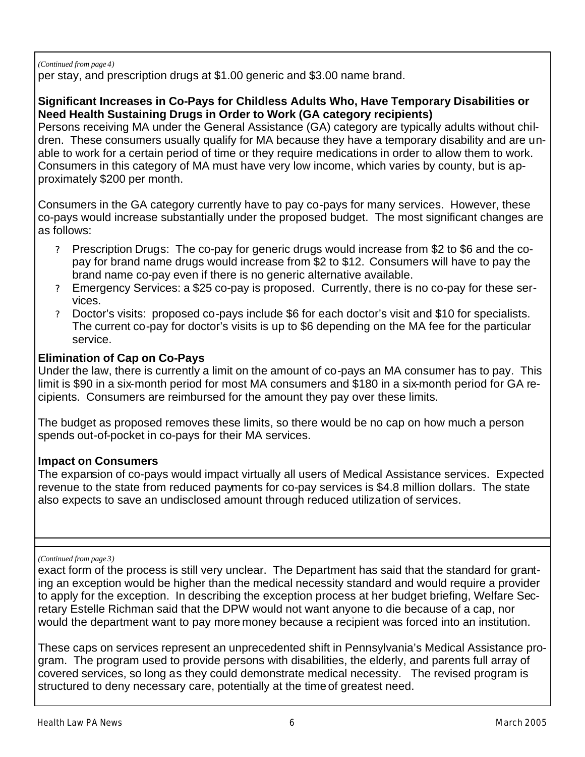#### *(Continued from page 4)*

per stay, and prescription drugs at \$1.00 generic and \$3.00 name brand.

#### **Significant Increases in Co-Pays for Childless Adults Who, Have Temporary Disabilities or Need Health Sustaining Drugs in Order to Work (GA category recipients)**

Persons receiving MA under the General Assistance (GA) category are typically adults without children. These consumers usually qualify for MA because they have a temporary disability and are unable to work for a certain period of time or they require medications in order to allow them to work. Consumers in this category of MA must have very low income, which varies by county, but is approximately \$200 per month.

Consumers in the GA category currently have to pay co-pays for many services. However, these co-pays would increase substantially under the proposed budget. The most significant changes are as follows:

- ? Prescription Drugs: The co-pay for generic drugs would increase from \$2 to \$6 and the copay for brand name drugs would increase from \$2 to \$12. Consumers will have to pay the brand name co-pay even if there is no generic alternative available.
- ? Emergency Services: a \$25 co-pay is proposed. Currently, there is no co-pay for these services.
- ? Doctor's visits: proposed co-pays include \$6 for each doctor's visit and \$10 for specialists. The current co-pay for doctor's visits is up to \$6 depending on the MA fee for the particular service.

#### **Elimination of Cap on Co-Pays**

Under the law, there is currently a limit on the amount of co-pays an MA consumer has to pay. This limit is \$90 in a six-month period for most MA consumers and \$180 in a six-month period for GA recipients. Consumers are reimbursed for the amount they pay over these limits.

The budget as proposed removes these limits, so there would be no cap on how much a person spends out-of-pocket in co-pays for their MA services.

#### **Impact on Consumers**

The expansion of co-pays would impact virtually all users of Medical Assistance services. Expected revenue to the state from reduced payments for co-pay services is \$4.8 million dollars. The state also expects to save an undisclosed amount through reduced utilization of services.

#### *(Continued from page 3)*

exact form of the process is still very unclear. The Department has said that the standard for granting an exception would be higher than the medical necessity standard and would require a provider to apply for the exception. In describing the exception process at her budget briefing, Welfare Secretary Estelle Richman said that the DPW would not want anyone to die because of a cap, nor would the department want to pay more money because a recipient was forced into an institution.

These caps on services represent an unprecedented shift in Pennsylvania's Medical Assistance program. The program used to provide persons with disabilities, the elderly, and parents full array of covered services, so long as they could demonstrate medical necessity. The revised program is structured to deny necessary care, potentially at the time of greatest need.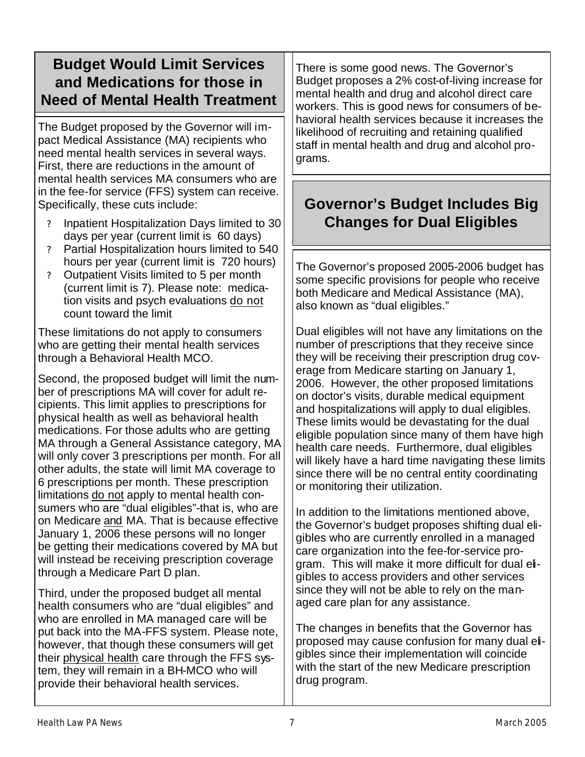### **Budget Would Limit Services and Medications for those in Need of Mental Health Treatment**

The Budget proposed by the Governor will impact Medical Assistance (MA) recipients who need mental health services in several ways. First, there are reductions in the amount of mental health services MA consumers who are in the fee-for service (FFS) system can receive. Specifically, these cuts include:

- ? Inpatient Hospitalization Days limited to 30 days per year (current limit is 60 days)
- ? Partial Hospitalization hours limited to 540 hours per year (current limit is 720 hours)
- ? Outpatient Visits limited to 5 per month (current limit is 7). Please note: medication visits and psych evaluations do not count toward the limit

These limitations do not apply to consumers who are getting their mental health services through a Behavioral Health MCO.

Second, the proposed budget will limit the number of prescriptions MA will cover for adult recipients. This limit applies to prescriptions for physical health as well as behavioral health medications. For those adults who are getting MA through a General Assistance category, MA will only cover 3 prescriptions per month. For all other adults, the state will limit MA coverage to 6 prescriptions per month. These prescription limitations do not apply to mental health consumers who are "dual eligibles"-that is, who are on Medicare and MA. That is because effective January 1, 2006 these persons will no longer be getting their medications covered by MA but will instead be receiving prescription coverage through a Medicare Part D plan.

Third, under the proposed budget all mental health consumers who are "dual eligibles" and who are enrolled in MA managed care will be put back into the MA-FFS system. Please note, however, that though these consumers will get their physical health care through the FFS system, they will remain in a BH-MCO who will provide their behavioral health services.

There is some good news. The Governor's Budget proposes a 2% cost-of-living increase for mental health and drug and alcohol direct care workers. This is good news for consumers of behavioral health services because it increases the likelihood of recruiting and retaining qualified staff in mental health and drug and alcohol programs.

### **Governor's Budget Includes Big Changes for Dual Eligibles**

The Governor's proposed 2005-2006 budget has some specific provisions for people who receive both Medicare and Medical Assistance (MA), also known as "dual eligibles."

Dual eligibles will not have any limitations on the number of prescriptions that they receive since they will be receiving their prescription drug coverage from Medicare starting on January 1, 2006. However, the other proposed limitations on doctor's visits, durable medical equipment and hospitalizations will apply to dual eligibles. These limits would be devastating for the dual eligible population since many of them have high health care needs. Furthermore, dual eligibles will likely have a hard time navigating these limits since there will be no central entity coordinating or monitoring their utilization.

In addition to the limitations mentioned above, the Governor's budget proposes shifting dual eligibles who are currently enrolled in a managed care organization into the fee-for-service program. This will make it more difficult for dual eligibles to access providers and other services since they will not be able to rely on the managed care plan for any assistance.

The changes in benefits that the Governor has proposed may cause confusion for many dual eligibles since their implementation will coincide with the start of the new Medicare prescription drug program.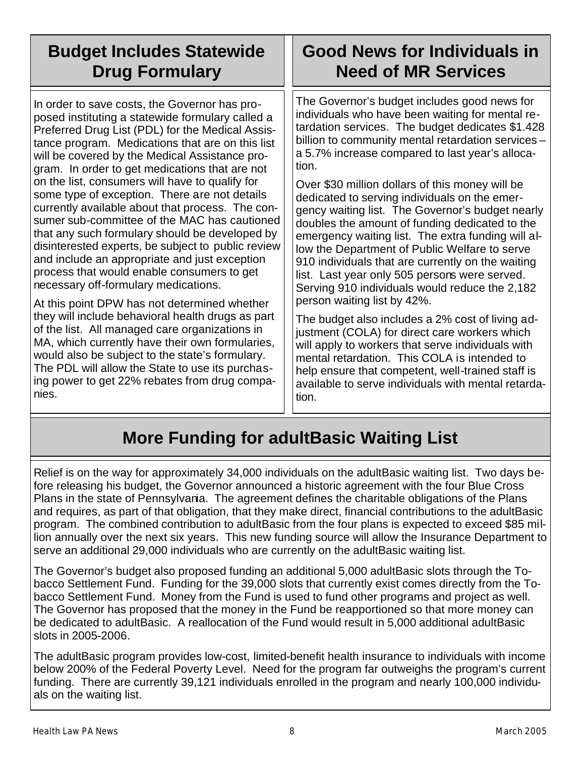# **Budget Includes Statewide Drug Formulary**

In order to save costs, the Governor has proposed instituting a statewide formulary called a Preferred Drug List (PDL) for the Medical Assistance program. Medications that are on this list will be covered by the Medical Assistance program. In order to get medications that are not on the list, consumers will have to qualify for some type of exception. There are not details currently available about that process. The consumer sub-committee of the MAC has cautioned that any such formulary should be developed by disinterested experts, be subject to public review and include an appropriate and just exception process that would enable consumers to get necessary off-formulary medications.

At this point DPW has not determined whether they will include behavioral health drugs as part of the list. All managed care organizations in MA, which currently have their own formularies, would also be subject to the state's formulary. The PDL will allow the State to use its purchasing power to get 22% rebates from drug companies.

# **Good News for Individuals in Need of MR Services**

The Governor's budget includes good news for individuals who have been waiting for mental retardation services. The budget dedicates \$1.428 billion to community mental retardation services – a 5.7% increase compared to last year's allocation.

Over \$30 million dollars of this money will be dedicated to serving individuals on the emergency waiting list. The Governor's budget nearly doubles the amount of funding dedicated to the emergency waiting list. The extra funding will allow the Department of Public Welfare to serve 910 individuals that are currently on the waiting list. Last year only 505 persons were served. Serving 910 individuals would reduce the 2,182 person waiting list by 42%.

The budget also includes a 2% cost of living adjustment (COLA) for direct care workers which will apply to workers that serve individuals with mental retardation. This COLA is intended to help ensure that competent, well-trained staff is available to serve individuals with mental retardation.

# **More Funding for adultBasic Waiting List**

Relief is on the way for approximately 34,000 individuals on the adultBasic waiting list. Two days before releasing his budget, the Governor announced a historic agreement with the four Blue Cross Plans in the state of Pennsylvania. The agreement defines the charitable obligations of the Plans and requires, as part of that obligation, that they make direct, financial contributions to the adultBasic program. The combined contribution to adultBasic from the four plans is expected to exceed \$85 million annually over the next six years. This new funding source will allow the Insurance Department to serve an additional 29,000 individuals who are currently on the adultBasic waiting list.

The Governor's budget also proposed funding an additional 5,000 adultBasic slots through the Tobacco Settlement Fund. Funding for the 39,000 slots that currently exist comes directly from the Tobacco Settlement Fund. Money from the Fund is used to fund other programs and project as well. The Governor has proposed that the money in the Fund be reapportioned so that more money can be dedicated to adultBasic. A reallocation of the Fund would result in 5,000 additional adultBasic slots in 2005-2006.

The adultBasic program provides low-cost, limited-benefit health insurance to individuals with income below 200% of the Federal Poverty Level. Need for the program far outweighs the program's current funding. There are currently 39,121 individuals enrolled in the program and nearly 100,000 individuals on the waiting list.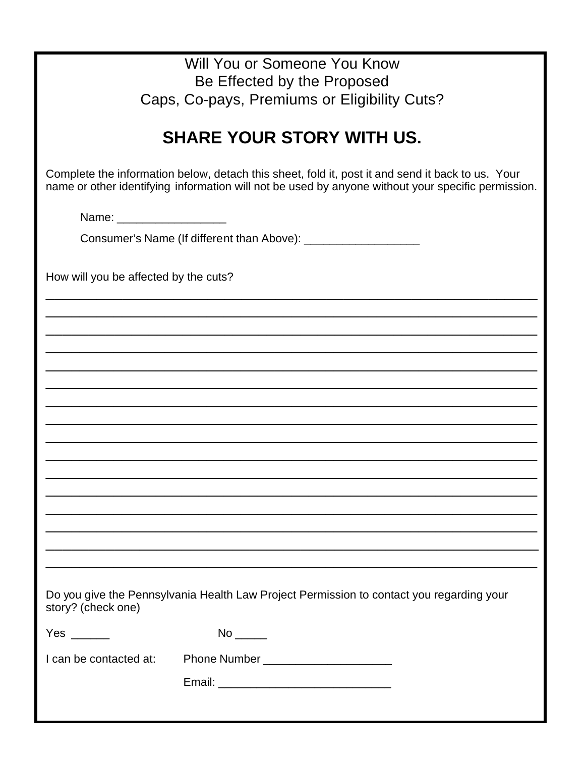| Will You or Someone You Know                                                                                                                                                                           |  |  |  |
|--------------------------------------------------------------------------------------------------------------------------------------------------------------------------------------------------------|--|--|--|
| Be Effected by the Proposed                                                                                                                                                                            |  |  |  |
| Caps, Co-pays, Premiums or Eligibility Cuts?                                                                                                                                                           |  |  |  |
|                                                                                                                                                                                                        |  |  |  |
| <b>SHARE YOUR STORY WITH US.</b>                                                                                                                                                                       |  |  |  |
| Complete the information below, detach this sheet, fold it, post it and send it back to us. Your<br>name or other identifying information will not be used by anyone without your specific permission. |  |  |  |
| Name: _______________________                                                                                                                                                                          |  |  |  |
|                                                                                                                                                                                                        |  |  |  |
| How will you be affected by the cuts?                                                                                                                                                                  |  |  |  |
|                                                                                                                                                                                                        |  |  |  |
|                                                                                                                                                                                                        |  |  |  |
|                                                                                                                                                                                                        |  |  |  |
|                                                                                                                                                                                                        |  |  |  |
|                                                                                                                                                                                                        |  |  |  |
|                                                                                                                                                                                                        |  |  |  |
|                                                                                                                                                                                                        |  |  |  |
|                                                                                                                                                                                                        |  |  |  |
|                                                                                                                                                                                                        |  |  |  |
|                                                                                                                                                                                                        |  |  |  |
|                                                                                                                                                                                                        |  |  |  |
|                                                                                                                                                                                                        |  |  |  |
|                                                                                                                                                                                                        |  |  |  |
|                                                                                                                                                                                                        |  |  |  |
| Do you give the Pennsylvania Health Law Project Permission to contact you regarding your<br>story? (check one)                                                                                         |  |  |  |
| Yes $\_\_$                                                                                                                                                                                             |  |  |  |
| Phone Number ________________________<br>I can be contacted at:                                                                                                                                        |  |  |  |
|                                                                                                                                                                                                        |  |  |  |
|                                                                                                                                                                                                        |  |  |  |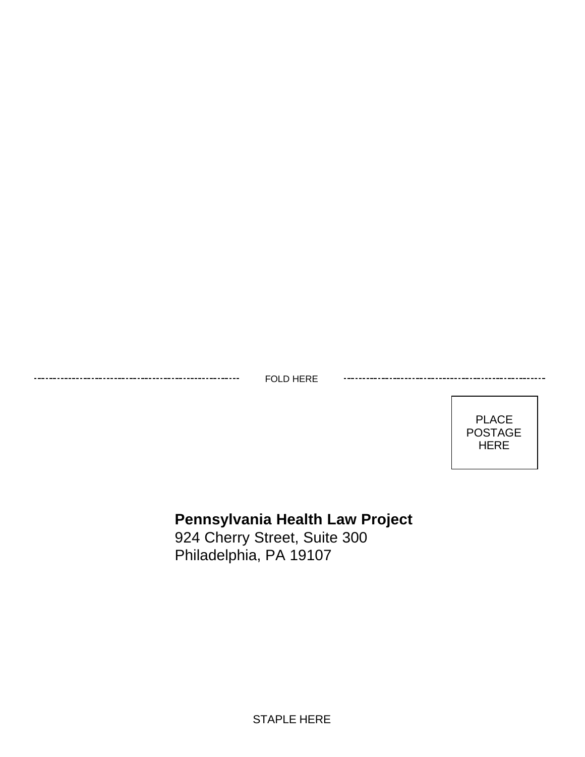FOLD HERE



### **Pennsylvania Health Law Project**

924 Cherry Street, Suite 300 Philadelphia, PA 19107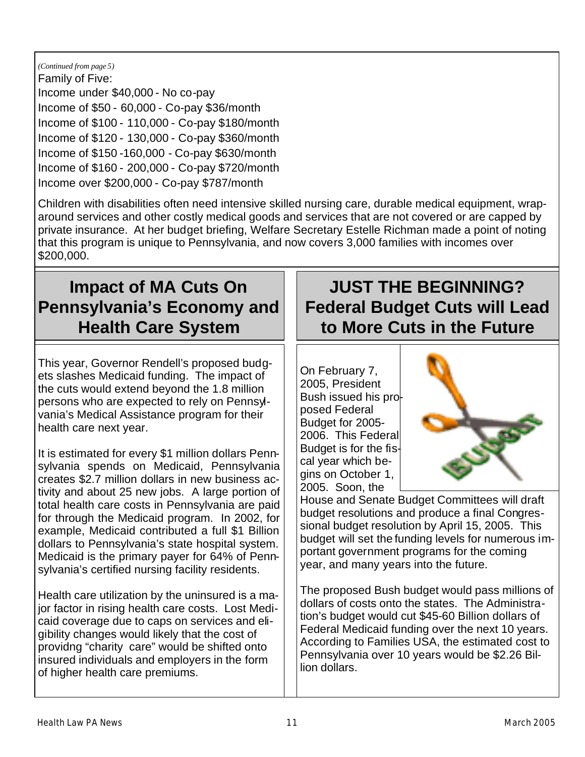#### *(Continued from page 5)*

Family of Five: Income under \$40,000 - No co-pay Income of \$50 - 60,000 - Co-pay \$36/month Income of \$100 - 110,000 - Co-pay \$180/month Income of \$120 - 130,000 - Co-pay \$360/month Income of \$150 -160,000 - Co-pay \$630/month Income of \$160 - 200,000 - Co-pay \$720/month Income over \$200,000 - Co-pay \$787/month

Children with disabilities often need intensive skilled nursing care, durable medical equipment, wraparound services and other costly medical goods and services that are not covered or are capped by private insurance. At her budget briefing, Welfare Secretary Estelle Richman made a point of noting that this program is unique to Pennsylvania, and now covers 3,000 families with incomes over \$200,000.

### **Impact of MA Cuts On Pennsylvania's Economy and Health Care System**

This year, Governor Rendell's proposed budgets slashes Medicaid funding. The impact of the cuts would extend beyond the 1.8 million persons who are expected to rely on Pennsylvania's Medical Assistance program for their health care next year.

It is estimated for every \$1 million dollars Pennsylvania spends on Medicaid, Pennsylvania creates \$2.7 million dollars in new business activity and about 25 new jobs. A large portion of total health care costs in Pennsylvania are paid for through the Medicaid program. In 2002, for example, Medicaid contributed a full \$1 Billion dollars to Pennsylvania's state hospital system. Medicaid is the primary payer for 64% of Pennsylvania's certified nursing facility residents.

Health care utilization by the uninsured is a major factor in rising health care costs. Lost Medicaid coverage due to caps on services and eligibility changes would likely that the cost of providng "charity care" would be shifted onto insured individuals and employers in the form of higher health care premiums.

## **JUST THE BEGINNING? Federal Budget Cuts will Lead to More Cuts in the Future**

On February 7, 2005, President Bush issued his proposed Federal Budget for 2005- 2006. This Federal Budget is for the fiscal year which begins on October 1, 2005. Soon, the



House and Senate Budget Committees will draft budget resolutions and produce a final Congressional budget resolution by April 15, 2005. This budget will set the funding levels for numerous important government programs for the coming year, and many years into the future.

The proposed Bush budget would pass millions of dollars of costs onto the states. The Administration's budget would cut \$45-60 Billion dollars of Federal Medicaid funding over the next 10 years. According to Families USA, the estimated cost to Pennsylvania over 10 years would be \$2.26 Billion dollars.